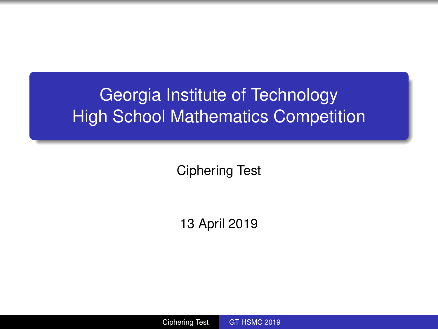# <span id="page-0-0"></span>Georgia Institute of Technology High School Mathematics Competition

Ciphering Test

13 April 2019

Ciphering Test [GT HSMC 2019](#page-14-0)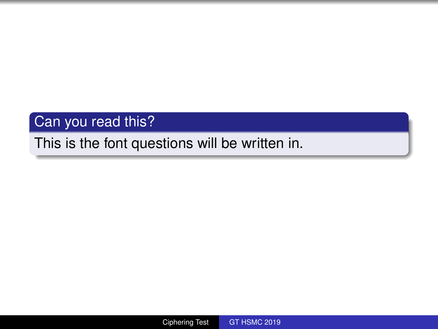## Can you read this?

## This is the font questions will be written in.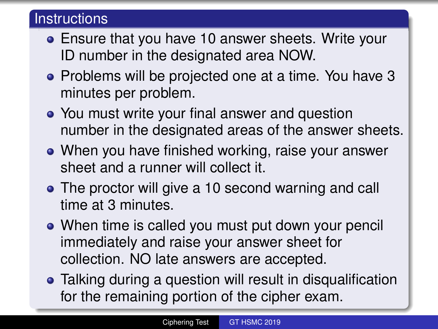## **Instructions**

- Ensure that you have 10 answer sheets. Write your ID number in the designated area NOW.
- Problems will be projected one at a time. You have 3 minutes per problem.
- You must write your final answer and question number in the designated areas of the answer sheets.
- When you have finished working, raise your answer sheet and a runner will collect it.
- The proctor will give a 10 second warning and call time at 3 minutes.
- When time is called you must put down your pencil immediately and raise your answer sheet for collection. NO late answers are accepted.
- Talking during a question will result in disqualification for the remaining portion of the cipher exam.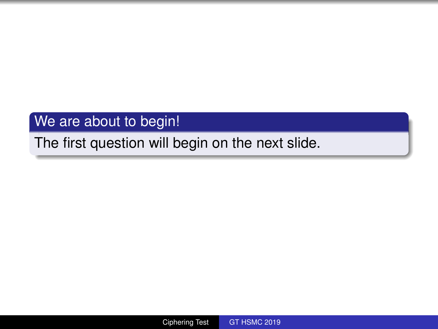## We are about to begin!

## The first question will begin on the next slide.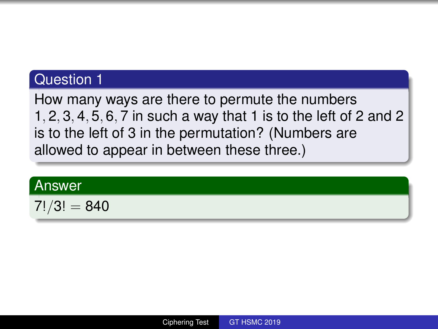How many ways are there to permute the numbers 1, 2, 3, 4, 5, 6, 7 in such a way that 1 is to the left of 2 and 2 is to the left of 3 in the permutation? (Numbers are allowed to appear in between these three.)

#### Answer

$$
7!/3!=840
$$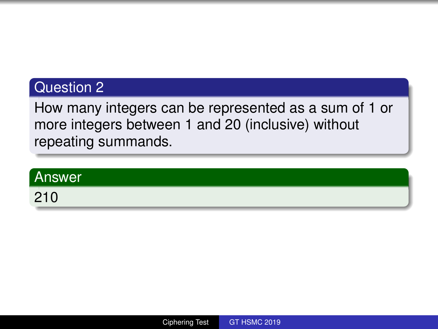How many integers can be represented as a sum of 1 or more integers between 1 and 20 (inclusive) without repeating summands.

# Answer 210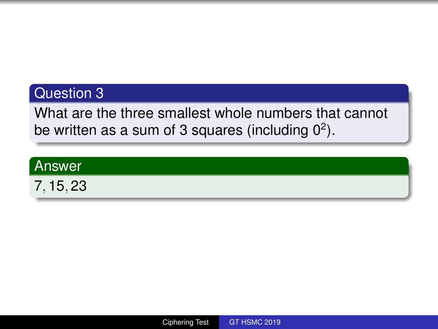What are the three smallest whole numbers that cannot be written as a sum of 3 squares (including  $0^2$ ).

#### Answer

7, 15, 23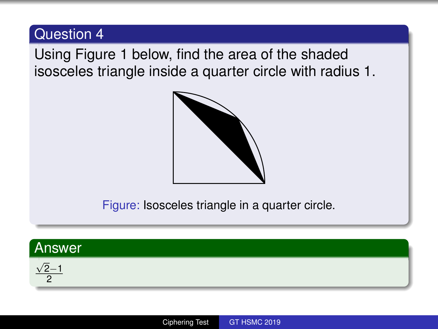Using Figure [1](#page-7-0) below, find the area of the shaded isosceles triangle inside a quarter circle with radius 1.



Figure: Isosceles triangle in a quarter circle.

<span id="page-7-0"></span>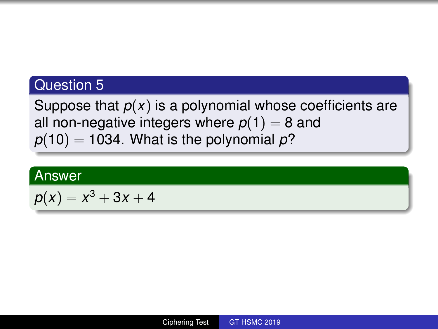Suppose that  $p(x)$  is a polynomial whose coefficients are all non-negative integers where  $p(1) = 8$  and  $p(10) = 1034$ . What is the polynomial  $p$ ?

#### Answer

$$
p(x)=x^3+3x+4
$$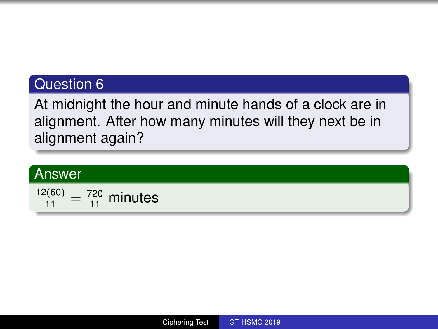At midnight the hour and minute hands of a clock are in alignment. After how many minutes will they next be in alignment again?

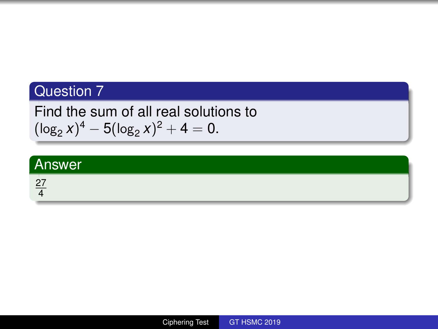Find the sum of all real solutions to  $(\log_2 x)^4 - 5(\log_2 x)^2 + 4 = 0.$ 

| Answer             |  |
|--------------------|--|
| $\Omega$<br>$\sim$ |  |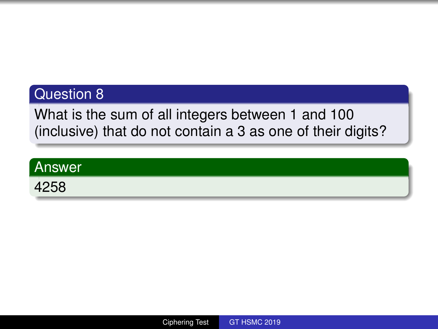What is the sum of all integers between 1 and 100 (inclusive) that do not contain a 3 as one of their digits?

| <b>Answer</b> |  |
|---------------|--|
| 4258          |  |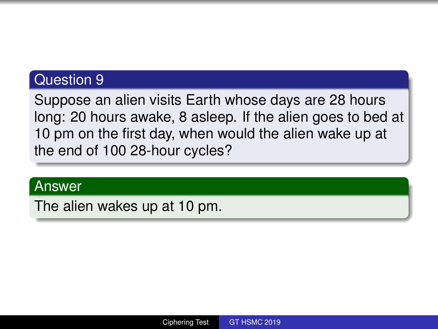Suppose an alien visits Earth whose days are 28 hours long: 20 hours awake, 8 asleep. If the alien goes to bed at 10 pm on the first day, when would the alien wake up at the end of 100 28-hour cycles?

#### Answer

The alien wakes up at 10 pm.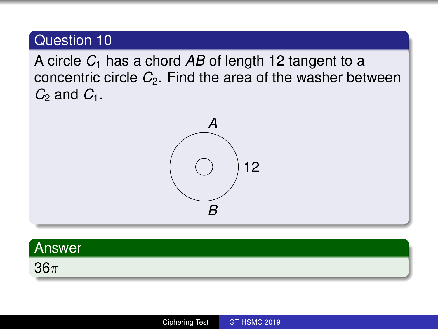A circle *C*<sup>1</sup> has a chord *AB* of length 12 tangent to a concentric circle *C*2. Find the area of the washer between  $C_2$  and  $C_1$ .





36π

Ciphering Test [GT HSMC 2019](#page-0-0)